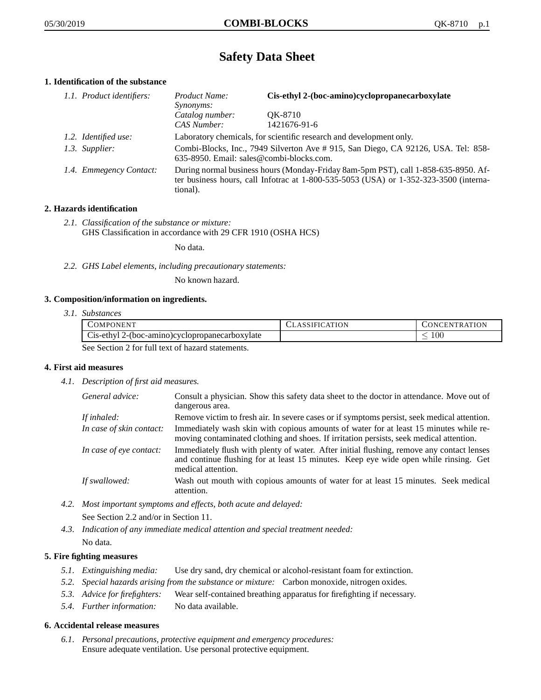# **Safety Data Sheet**

# **1. Identification of the substance**

| 1.1. Product identifiers: | Product Name:<br>Synonyms:                                                                                                                                                                  | Cis-ethyl 2-(boc-amino)cyclopropanecarboxylate |
|---------------------------|---------------------------------------------------------------------------------------------------------------------------------------------------------------------------------------------|------------------------------------------------|
|                           | Catalog number:<br>CAS Number:                                                                                                                                                              | OK-8710<br>1421676-91-6                        |
| 1.2. Identified use:      | Laboratory chemicals, for scientific research and development only.                                                                                                                         |                                                |
| 1.3. Supplier:            | Combi-Blocks, Inc., 7949 Silverton Ave #915, San Diego, CA 92126, USA. Tel: 858-<br>635-8950. Email: sales@combi-blocks.com.                                                                |                                                |
| 1.4. Emmegency Contact:   | During normal business hours (Monday-Friday 8am-5pm PST), call 1-858-635-8950. Af-<br>ter business hours, call Infotrac at $1-800-535-5053$ (USA) or $1-352-323-3500$ (interna-<br>tional). |                                                |

# **2. Hazards identification**

*2.1. Classification of the substance or mixture:* GHS Classification in accordance with 29 CFR 1910 (OSHA HCS)

No data.

*2.2. GHS Label elements, including precautionary statements:*

No known hazard.

#### **3. Composition/information on ingredients.**

*3.1. Substances*

|                                                  | COMPONENT                                      | <b>CLASSIFICATION</b> | CONCENTRATION   |
|--------------------------------------------------|------------------------------------------------|-----------------------|-----------------|
|                                                  | Cis-ethyl 2-(boc-amino)cyclopropanecarboxylate |                       | 00 <sub>1</sub> |
| See Section 2 for full text of hazard statements |                                                |                       |                 |

See Section 2 for full text of hazard statements.

# **4. First aid measures**

*4.1. Description of first aid measures.*

| General advice:          | Consult a physician. Show this safety data sheet to the doctor in attendance. Move out of<br>dangerous area.                                                                                            |
|--------------------------|---------------------------------------------------------------------------------------------------------------------------------------------------------------------------------------------------------|
| If inhaled:              | Remove victim to fresh air. In severe cases or if symptoms persist, seek medical attention.                                                                                                             |
| In case of skin contact: | Immediately wash skin with copious amounts of water for at least 15 minutes while re-<br>moving contaminated clothing and shoes. If irritation persists, seek medical attention.                        |
| In case of eye contact:  | Immediately flush with plenty of water. After initial flushing, remove any contact lenses<br>and continue flushing for at least 15 minutes. Keep eye wide open while rinsing. Get<br>medical attention. |
| If swallowed:            | Wash out mouth with copious amounts of water for at least 15 minutes. Seek medical<br>attention.                                                                                                        |

*4.2. Most important symptoms and effects, both acute and delayed:*

See Section 2.2 and/or in Section 11.

*4.3. Indication of any immediate medical attention and special treatment needed:* No data.

## **5. Fire fighting measures**

- *5.1. Extinguishing media:* Use dry sand, dry chemical or alcohol-resistant foam for extinction.
- *5.2. Special hazards arising from the substance or mixture:* Carbon monoxide, nitrogen oxides.
- *5.3. Advice for firefighters:* Wear self-contained breathing apparatus for firefighting if necessary.
- *5.4. Further information:* No data available.

#### **6. Accidental release measures**

*6.1. Personal precautions, protective equipment and emergency procedures:* Ensure adequate ventilation. Use personal protective equipment.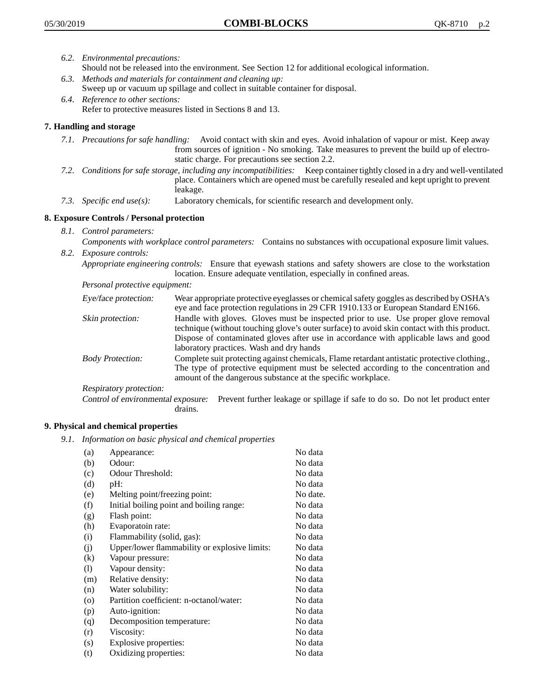- *6.2. Environmental precautions:* Should not be released into the environment. See Section 12 for additional ecological information.
- *6.3. Methods and materials for containment and cleaning up:* Sweep up or vacuum up spillage and collect in suitable container for disposal.
- *6.4. Reference to other sections:* Refer to protective measures listed in Sections 8 and 13.

# **7. Handling and storage**

- *7.1. Precautions for safe handling:* Avoid contact with skin and eyes. Avoid inhalation of vapour or mist. Keep away from sources of ignition - No smoking. Take measures to prevent the build up of electrostatic charge. For precautions see section 2.2.
- *7.2. Conditions for safe storage, including any incompatibilities:* Keep container tightly closed in a dry and well-ventilated place. Containers which are opened must be carefully resealed and kept upright to prevent leakage.
- *7.3. Specific end use(s):* Laboratory chemicals, for scientific research and development only.

# **8. Exposure Controls / Personal protection**

- *8.1. Control parameters:*
- *Components with workplace control parameters:* Contains no substances with occupational exposure limit values. *8.2. Exposure controls:*

*Appropriate engineering controls:* Ensure that eyewash stations and safety showers are close to the workstation location. Ensure adequate ventilation, especially in confined areas.

*Personal protective equipment:*

| Eye/face protection:    | Wear appropriate protective eyeglasses or chemical safety goggles as described by OSHA's<br>eye and face protection regulations in 29 CFR 1910.133 or European Standard EN166.                                                                                                                                         |
|-------------------------|------------------------------------------------------------------------------------------------------------------------------------------------------------------------------------------------------------------------------------------------------------------------------------------------------------------------|
| Skin protection:        | Handle with gloves. Gloves must be inspected prior to use. Use proper glove removal<br>technique (without touching glove's outer surface) to avoid skin contact with this product.<br>Dispose of contaminated gloves after use in accordance with applicable laws and good<br>laboratory practices. Wash and dry hands |
| <b>Body Protection:</b> | Complete suit protecting against chemicals, Flame retardant antistatic protective clothing.,<br>The type of protective equipment must be selected according to the concentration and<br>amount of the dangerous substance at the specific workplace.                                                                   |
| Respiratory protection: |                                                                                                                                                                                                                                                                                                                        |

Control of environmental exposure: Prevent further leakage or spillage if safe to do so. Do not let product enter drains.

#### **9. Physical and chemical properties**

*9.1. Information on basic physical and chemical properties*

| (a)                        | Appearance:                                   | No data  |
|----------------------------|-----------------------------------------------|----------|
| (b)                        | Odour:                                        | No data  |
| (c)                        | Odour Threshold:                              | No data  |
| (d)                        | pH:                                           | No data  |
| (e)                        | Melting point/freezing point:                 | No date. |
| (f)                        | Initial boiling point and boiling range:      | No data  |
| (g)                        | Flash point:                                  | No data  |
| (h)                        | Evaporatoin rate:                             | No data  |
| (i)                        | Flammability (solid, gas):                    | No data  |
| (j)                        | Upper/lower flammability or explosive limits: | No data  |
| (k)                        | Vapour pressure:                              | No data  |
| $\left( \mathrm{l}\right)$ | Vapour density:                               | No data  |
| (m)                        | Relative density:                             | No data  |
| (n)                        | Water solubility:                             | No data  |
| $\circ$                    | Partition coefficient: n-octanol/water:       | No data  |
| (p)                        | Auto-ignition:                                | No data  |
| (q)                        | Decomposition temperature:                    | No data  |
| (r)                        | Viscosity:                                    | No data  |
| (s)                        | Explosive properties:                         | No data  |
| (t)                        | Oxidizing properties:                         | No data  |